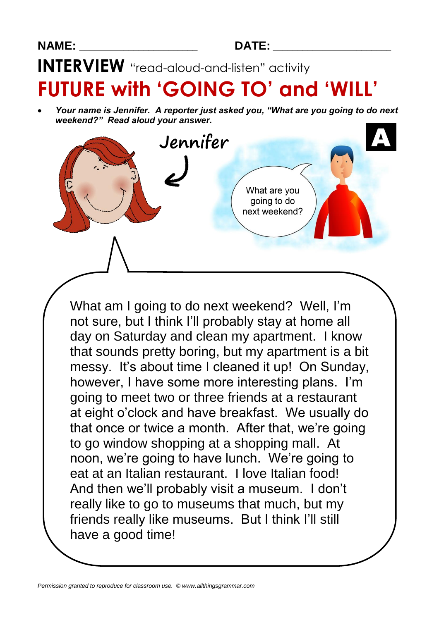## **INTERVIEW** "read-aloud-and-listen" activity

# **FUTURE with 'GOING TO' and 'WILL'**

 *Your name is Jennifer. A reporter just asked you, "What are you going to do next weekend?" Read aloud your answer.*



What am I going to do next weekend? Well, I'm not sure, but I think I'll probably stay at home all day on Saturday and clean my apartment. I know that sounds pretty boring, but my apartment is a bit messy. It's about time I cleaned it up! On Sunday, however, I have some more interesting plans. I'm going to meet two or three friends at a restaurant at eight o'clock and have breakfast. We usually do that once or twice a month. After that, we're going to go window shopping at a shopping mall. At noon, we're going to have lunch. We're going to eat at an Italian restaurant. I love Italian food! And then we'll probably visit a museum. I don't really like to go to museums that much, but my friends really like museums. But I think I'll still have a good time!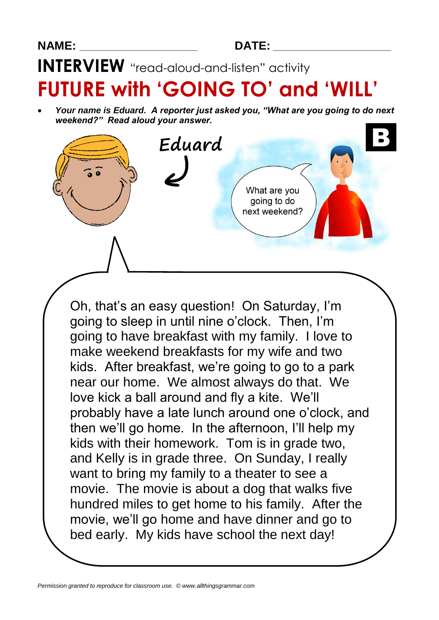**INTERVIEW** "read-aloud-and-listen" activity

# **FUTURE with 'GOING TO' and 'WILL'**

 *Your name is Eduard. A reporter just asked you, "What are you going to do next weekend?" Read aloud your answer.*

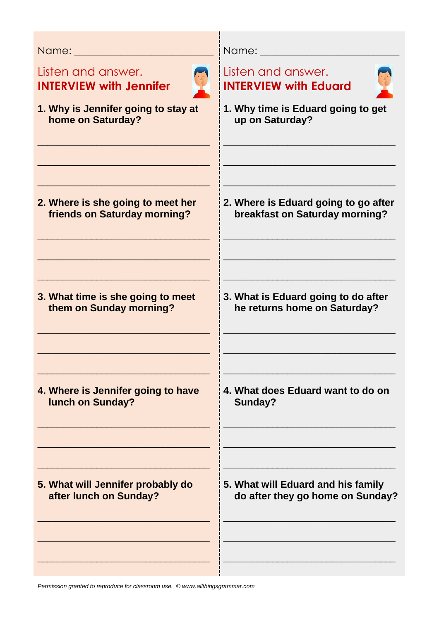| Name: Album and the state of the state of the state of the state of the state of the state of the state of the |                                      |
|----------------------------------------------------------------------------------------------------------------|--------------------------------------|
| Listen and answer.                                                                                             | Listen and answer.                   |
| <b>INTERVIEW with Jennifer</b>                                                                                 | <b>INTERVIEW with Eduard</b>         |
| 1. Why is Jennifer going to stay at                                                                            | 1. Why time is Eduard going to get   |
| home on Saturday?                                                                                              | up on Saturday?                      |
| 2. Where is she going to meet her                                                                              | 2. Where is Eduard going to go after |
| friends on Saturday morning?                                                                                   | breakfast on Saturday morning?       |
| 3. What time is she going to meet                                                                              | 3. What is Eduard going to do after  |
| them on Sunday morning?                                                                                        | he returns home on Saturday?         |
| 4. Where is Jennifer going to have                                                                             | 4. What does Eduard want to do on    |
| <b>lunch on Sunday?</b>                                                                                        | Sunday?                              |
| 5. What will Jennifer probably do                                                                              | 5. What will Eduard and his family   |
| after lunch on Sunday?                                                                                         | do after they go home on Sunday?     |
|                                                                                                                |                                      |

*Permission granted to reproduce for classroom use. © www.allthingsgrammar.com*